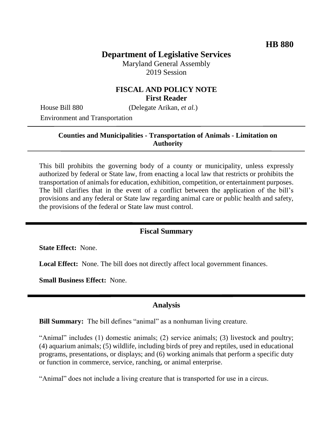# **Department of Legislative Services**

Maryland General Assembly 2019 Session

### **FISCAL AND POLICY NOTE First Reader**

House Bill 880 (Delegate Arikan, *et al.*)

Environment and Transportation

#### **Counties and Municipalities - Transportation of Animals - Limitation on Authority**

This bill prohibits the governing body of a county or municipality, unless expressly authorized by federal or State law, from enacting a local law that restricts or prohibits the transportation of animals for education, exhibition, competition, or entertainment purposes. The bill clarifies that in the event of a conflict between the application of the bill's provisions and any federal or State law regarding animal care or public health and safety, the provisions of the federal or State law must control.

#### **Fiscal Summary**

**State Effect:** None.

Local Effect: None. The bill does not directly affect local government finances.

**Small Business Effect:** None.

#### **Analysis**

**Bill Summary:** The bill defines "animal" as a nonhuman living creature.

"Animal" includes (1) domestic animals; (2) service animals; (3) livestock and poultry; (4) aquarium animals; (5) wildlife, including birds of prey and reptiles, used in educational programs, presentations, or displays; and (6) working animals that perform a specific duty or function in commerce, service, ranching, or animal enterprise.

"Animal" does not include a living creature that is transported for use in a circus.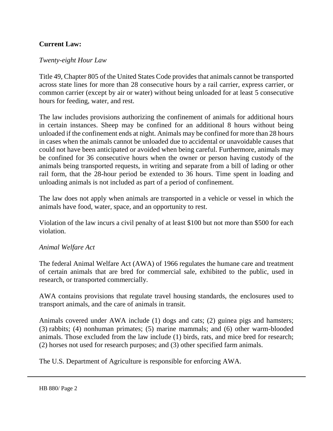### **Current Law:**

#### *Twenty-eight Hour Law*

Title 49, Chapter 805 of the United States Code provides that animals cannot be transported across state lines for more than 28 consecutive hours by a rail carrier, express carrier, or common carrier (except by air or water) without being unloaded for at least 5 consecutive hours for feeding, water, and rest.

The law includes provisions authorizing the confinement of animals for additional hours in certain instances. Sheep may be confined for an additional 8 hours without being unloaded if the confinement ends at night. Animals may be confined for more than 28 hours in cases when the animals cannot be unloaded due to accidental or unavoidable causes that could not have been anticipated or avoided when being careful. Furthermore, animals may be confined for 36 consecutive hours when the owner or person having custody of the animals being transported requests, in writing and separate from a bill of lading or other rail form, that the 28-hour period be extended to 36 hours. Time spent in loading and unloading animals is not included as part of a period of confinement.

The law does not apply when animals are transported in a vehicle or vessel in which the animals have food, water, space, and an opportunity to rest.

Violation of the law incurs a civil penalty of at least \$100 but not more than \$500 for each violation.

#### *Animal Welfare Act*

The federal Animal Welfare Act (AWA) of 1966 regulates the humane care and treatment of certain animals that are bred for commercial sale, exhibited to the public, used in research, or transported commercially.

AWA contains provisions that regulate travel housing standards, the enclosures used to transport animals, and the care of animals in transit.

Animals covered under AWA include (1) dogs and cats; (2) guinea pigs and hamsters; (3) rabbits; (4) nonhuman primates; (5) marine mammals; and (6) other warm-blooded animals. Those excluded from the law include (1) birds, rats, and mice bred for research; (2) horses not used for research purposes; and (3) other specified farm animals.

The U.S. Department of Agriculture is responsible for enforcing AWA.